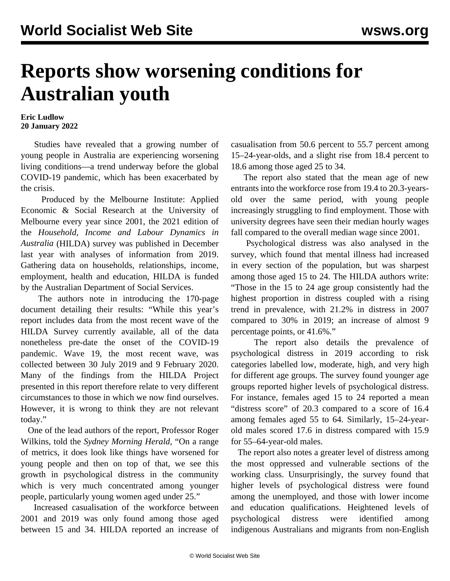## **Reports show worsening conditions for Australian youth**

## **Eric Ludlow 20 January 2022**

 Studies have revealed that a growing number of young people in Australia are experiencing worsening living conditions—a trend underway before the global COVID-19 pandemic, which has been exacerbated by the crisis.

 Produced by the Melbourne Institute: Applied Economic & Social Research at the University of Melbourne every year since 2001, the [2021 edition of](https://melbourneinstitute.unimelb.edu.au/__data/assets/pdf_file/0009/3963249/HILDA-Statistical-Report-2021.pdf) [the](https://melbourneinstitute.unimelb.edu.au/__data/assets/pdf_file/0009/3963249/HILDA-Statistical-Report-2021.pdf) *[Household, Income and Labour Dynamics in](https://melbourneinstitute.unimelb.edu.au/__data/assets/pdf_file/0009/3963249/HILDA-Statistical-Report-2021.pdf) [Australia](https://melbourneinstitute.unimelb.edu.au/__data/assets/pdf_file/0009/3963249/HILDA-Statistical-Report-2021.pdf)* (HILDA) survey was published in December last year with analyses of information from 2019. Gathering data on households, relationships, income, employment, health and education, HILDA is funded by the Australian Department of Social Services.

 The authors note in introducing the 170-page document detailing their results: "While this year's report includes data from the most recent wave of the HILDA Survey currently available, all of the data nonetheless pre-date the onset of the COVID-19 pandemic. Wave 19, the most recent wave, was collected between 30 July 2019 and 9 February 2020. Many of the findings from the HILDA Project presented in this report therefore relate to very different circumstances to those in which we now find ourselves. However, it is wrong to think they are not relevant today."

 One of the lead authors of the report, Professor Roger Wilkins, told the *Sydney Morning Herald*, "On a range of metrics, it does look like things have worsened for young people and then on top of that, we see this growth in psychological distress in the community which is very much concentrated among younger people, particularly young women aged under 25."

 Increased casualisation of the workforce between 2001 and 2019 was only found among those aged between 15 and 34. HILDA reported an increase of casualisation from 50.6 percent to 55.7 percent among 15–24-year-olds, and a slight rise from 18.4 percent to 18.6 among those aged 25 to 34.

 The report also stated that the mean age of new entrants into the workforce rose from 19.4 to 20.3-yearsold over the same period, with young people increasingly struggling to find employment. Those with university degrees have seen their median hourly wages fall compared to the overall median wage since 2001.

 Psychological distress was also analysed in the survey, which found that mental illness had increased in every section of the population, but was sharpest among those aged 15 to 24. The HILDA authors write: "Those in the 15 to 24 age group consistently had the highest proportion in distress coupled with a rising trend in prevalence, with 21.2% in distress in 2007 compared to 30% in 2019; an increase of almost 9 percentage points, or 41.6%."

 The report also details the prevalence of psychological distress in 2019 according to risk categories labelled low, moderate, high, and very high for different age groups. The survey found younger age groups reported higher levels of psychological distress. For instance, females aged 15 to 24 reported a mean "distress score" of 20.3 compared to a score of 16.4 among females aged 55 to 64. Similarly, 15–24-yearold males scored 17.6 in distress compared with 15.9 for 55–64-year-old males.

 The report also notes a greater level of distress among the most oppressed and vulnerable sections of the working class. Unsurprisingly, the survey found that higher levels of psychological distress were found among the unemployed, and those with lower income and education qualifications. Heightened levels of psychological distress were identified among indigenous Australians and migrants from non-English